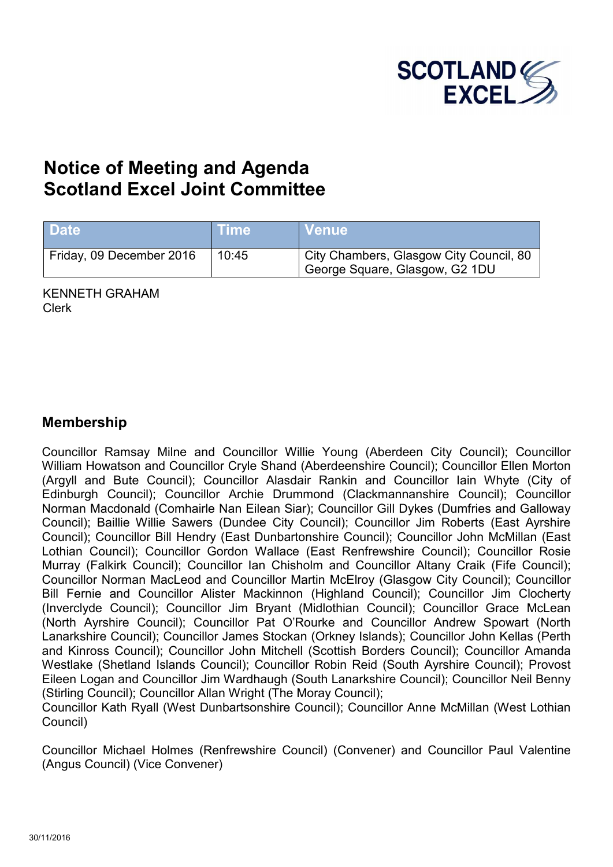

# **Notice of Meeting and Agenda Scotland Excel Joint Committee**

| <b>Date</b>              | ⊺ime' | <b>Venue</b>                                                              |
|--------------------------|-------|---------------------------------------------------------------------------|
| Friday, 09 December 2016 | 10:45 | City Chambers, Glasgow City Council, 80<br>George Square, Glasgow, G2 1DU |

KENNETH GRAHAM Clerk

#### **Membership**

Councillor Ramsay Milne and Councillor Willie Young (Aberdeen City Council); Councillor William Howatson and Councillor Cryle Shand (Aberdeenshire Council); Councillor Ellen Morton (Argyll and Bute Council); Councillor Alasdair Rankin and Councillor Iain Whyte (City of Edinburgh Council); Councillor Archie Drummond (Clackmannanshire Council); Councillor Norman Macdonald (Comhairle Nan Eilean Siar); Councillor Gill Dykes (Dumfries and Galloway Council); Baillie Willie Sawers (Dundee City Council); Councillor Jim Roberts (East Ayrshire Council); Councillor Bill Hendry (East Dunbartonshire Council); Councillor John McMillan (East Lothian Council); Councillor Gordon Wallace (East Renfrewshire Council); Councillor Rosie Murray (Falkirk Council); Councillor Ian Chisholm and Councillor Altany Craik (Fife Council); Councillor Norman MacLeod and Councillor Martin McElroy (Glasgow City Council); Councillor Bill Fernie and Councillor Alister Mackinnon (Highland Council); Councillor Jim Clocherty (Inverclyde Council); Councillor Jim Bryant (Midlothian Council); Councillor Grace McLean (North Ayrshire Council); Councillor Pat O'Rourke and Councillor Andrew Spowart (North Lanarkshire Council); Councillor James Stockan (Orkney Islands); Councillor John Kellas (Perth and Kinross Council); Councillor John Mitchell (Scottish Borders Council); Councillor Amanda Westlake (Shetland Islands Council); Councillor Robin Reid (South Ayrshire Council); Provost Eileen Logan and Councillor Jim Wardhaugh (South Lanarkshire Council); Councillor Neil Benny (Stirling Council); Councillor Allan Wright (The Moray Council);

Councillor Kath Ryall (West Dunbartsonshire Council); Councillor Anne McMillan (West Lothian Council)

Councillor Michael Holmes (Renfrewshire Council) (Convener) and Councillor Paul Valentine (Angus Council) (Vice Convener)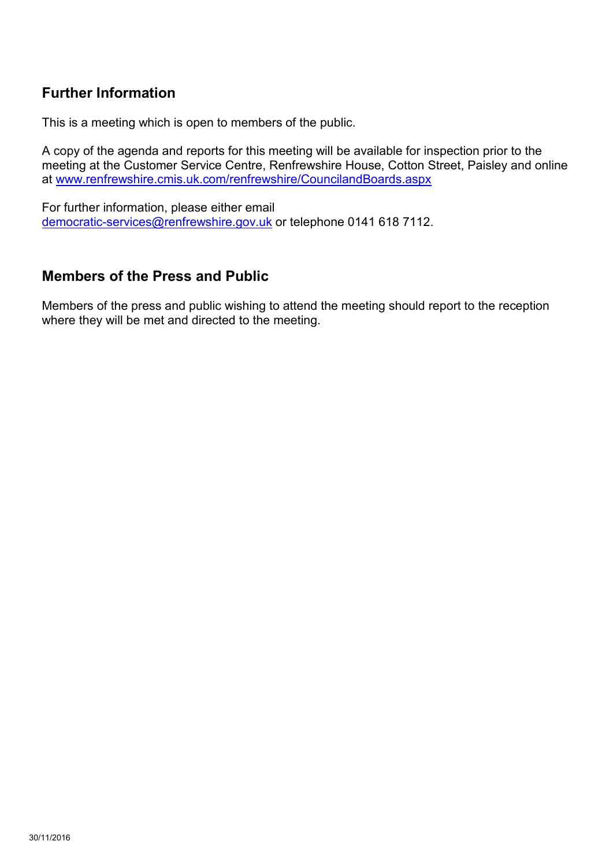## **Further Information**

This is a meeting which is open to members of the public.

A copy of the agenda and reports for this meeting will be available for inspection prior to the meeting at the Customer Service Centre, Renfrewshire House, Cotton Street, Paisley and online at [www.renfrewshire.cmis.uk.com/renfrewshire/CouncilandBoards.aspx](http://www.renfrewshire.cmis.uk.com/renfrewshire/CouncilandBoards.aspx)

For further information, please either email [democratic-services@renfrewshire.gov.uk](mailto:democratic-services@renfrewshire.gov.uk) or telephone 0141 618 7112.

#### **Members of the Press and Public**

Members of the press and public wishing to attend the meeting should report to the reception where they will be met and directed to the meeting.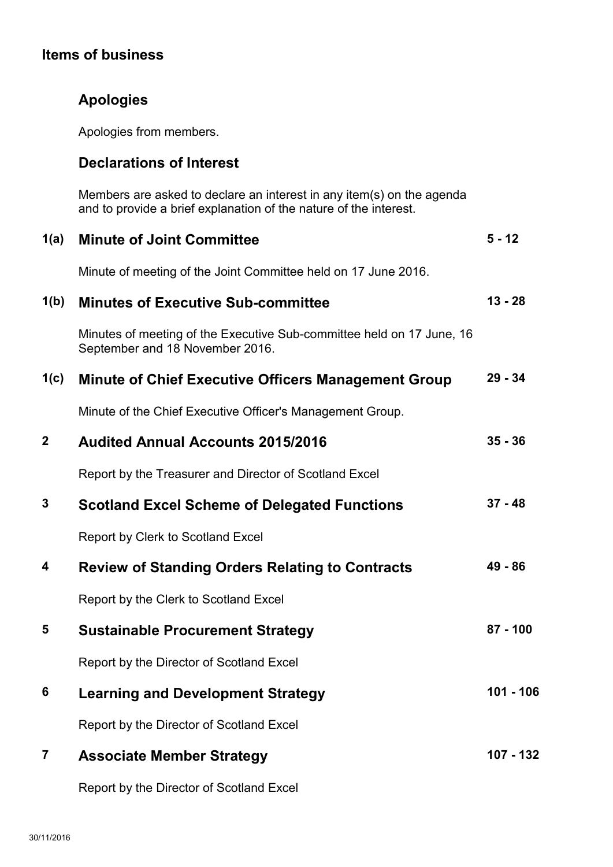## **Items of business**

| <b>Apologies</b> |  |
|------------------|--|
|------------------|--|

Apologies from members.

### **Declarations of Interest**

Members are asked to declare an interest in any item(s) on the agenda and to provide a brief explanation of the nature of the interest.

| 1(a)         | <b>Minute of Joint Committee</b>                                                                         | $5 - 12$    |
|--------------|----------------------------------------------------------------------------------------------------------|-------------|
|              | Minute of meeting of the Joint Committee held on 17 June 2016.                                           |             |
| 1(b)         | <b>Minutes of Executive Sub-committee</b>                                                                | $13 - 28$   |
|              | Minutes of meeting of the Executive Sub-committee held on 17 June, 16<br>September and 18 November 2016. |             |
| 1(c)         | <b>Minute of Chief Executive Officers Management Group</b>                                               | $29 - 34$   |
|              | Minute of the Chief Executive Officer's Management Group.                                                |             |
| $\mathbf{2}$ | <b>Audited Annual Accounts 2015/2016</b>                                                                 | $35 - 36$   |
|              | Report by the Treasurer and Director of Scotland Excel                                                   |             |
| 3            | <b>Scotland Excel Scheme of Delegated Functions</b>                                                      | $37 - 48$   |
|              | Report by Clerk to Scotland Excel                                                                        |             |
| 4            | <b>Review of Standing Orders Relating to Contracts</b>                                                   | 49 - 86     |
|              | Report by the Clerk to Scotland Excel                                                                    |             |
| 5            | <b>Sustainable Procurement Strategy</b>                                                                  | $87 - 100$  |
|              | Report by the Director of Scotland Excel                                                                 |             |
| 6            | <b>Learning and Development Strategy</b>                                                                 | $101 - 106$ |
|              | Report by the Director of Scotland Excel                                                                 |             |
| 7            | <b>Associate Member Strategy</b>                                                                         | 107 - 132   |
|              |                                                                                                          |             |